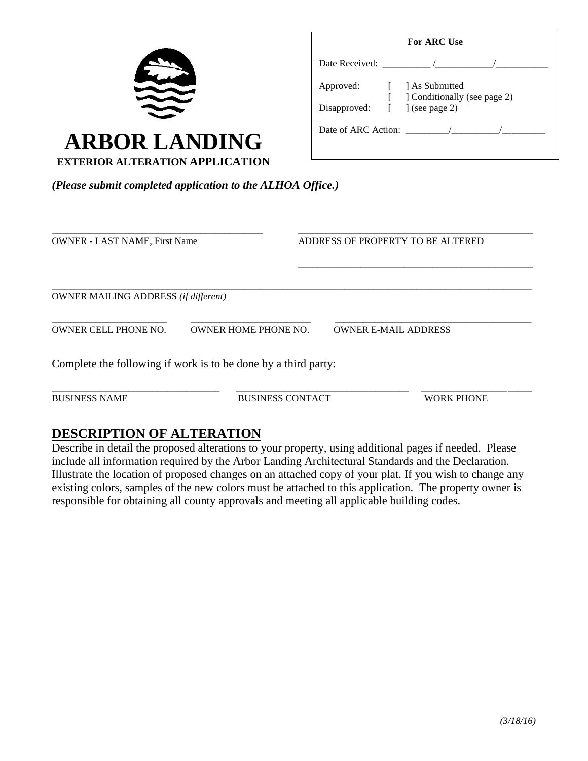

| For ARC Use                   |  |                                                  |  |  |
|-------------------------------|--|--------------------------------------------------|--|--|
|                               |  |                                                  |  |  |
| Approved:                     |  | [ ] As Submitted<br>[ Conditionally (see page 2) |  |  |
| Disapproved: [ ] (see page 2) |  |                                                  |  |  |
|                               |  | Date of ARC Action:                              |  |  |

*(Please submit completed application to the ALHOA Office.)*

| <b>OWNER - LAST NAME, First Name</b>        |                                                                | ADDRESS OF PROPERTY TO BE ALTERED |  |
|---------------------------------------------|----------------------------------------------------------------|-----------------------------------|--|
| <b>OWNER MAILING ADDRESS</b> (if different) |                                                                |                                   |  |
| <b>OWNER CELL PHONE NO.</b>                 | <b>OWNER HOME PHONE NO.</b>                                    | <b>OWNER E-MAIL ADDRESS</b>       |  |
|                                             | Complete the following if work is to be done by a third party: |                                   |  |

BUSINESS NAME BUSINESS CONTACT WORK PHONE

\_\_\_\_\_\_\_\_\_\_\_\_\_\_\_\_\_\_\_\_\_\_\_\_\_\_\_\_\_\_\_\_\_\_\_ \_\_\_\_\_\_\_\_\_\_\_\_\_\_\_\_\_\_\_\_\_\_\_\_\_\_\_\_\_\_\_\_\_\_\_\_ \_\_\_\_\_\_\_\_\_\_\_\_\_\_\_\_\_\_\_\_\_\_\_

## **DESCRIPTION OF ALTERATION**

Describe in detail the proposed alterations to your property, using additional pages if needed. Please include all information required by the Arbor Landing Architectural Standards and the Declaration. Illustrate the location of proposed changes on an attached copy of your plat. If you wish to change any existing colors, samples of the new colors must be attached to this application. The property owner is responsible for obtaining all county approvals and meeting all applicable building codes.